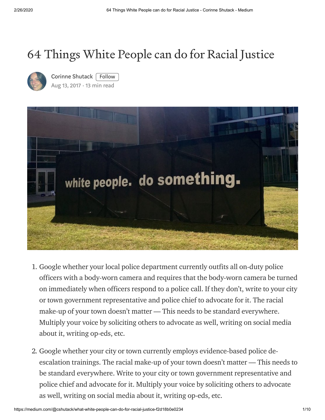## 64 Things White People can do for Racial Justice



Corinne [Shutack](https://medium.com/@cshutack?source=post_page-----f2d18b0e0234----------------------) | Follow Aug 13, [2017](https://medium.com/@cshutack/what-white-people-can-do-for-racial-justice-f2d18b0e0234?source=post_page-----f2d18b0e0234----------------------) · 13 min read



- 1. Google whether your local police department currently outfits all on-duty police officers with a body-worn camera and requires that the body-worn camera be turned on immediately when officers respond to a police call. If they don't, write to your city or town government representative and police chief to advocate for it. The racial make-up of your town doesn't matter — This needs to be standard everywhere. Multiply your voice by soliciting others to advocate as well, writing on social media about it, writing op-eds, etc.
- 2. Google whether your city or town currently employs evidence-based police deescalation trainings. The racial make-up of your town doesn't matter — This needs to be standard everywhere. Write to your city or town government representative and police chief and advocate for it. Multiply your voice by soliciting others to advocate as well, writing on social media about it, writing op-eds, etc.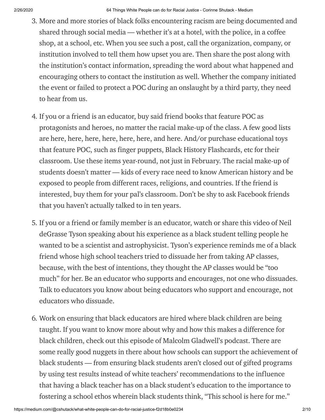- 3. More and more stories of black folks encountering racism are being documented and shared through social media — whether it's at a hotel, with the police, in a coffee shop, at a school, etc. When you see such a post, call the organization, company, or institution involved to tell them how upset you are. Then share the post along with the institution's contact information, spreading the word about what happened and encouraging others to contact the institution as well. Whether the company initiated the event or failed to protect a POC during an onslaught by a third party, they need to hear from us.
- 4. If you or a friend is an educator, buy said friend books that feature POC as protagonists and heroes, no matter the racial make-up of the class. A few good lists are [here](http://babyandblog.com/2014/02/5-black-childrens-authors-and-illustrators-you-should-know/), [here](https://www.npr.org/sections/ed/2014/06/05/318539208/a-diverse-summerreading-list-for-kids), [here,](http://grassrootscommunityfoundation.org/1000-black-girl-books-resource-guide/) [here](https://www.mahoganybooks.com/?fbclid=IwAR1bhMI_icTYJrpS3sq5fMtfOl0RM_66Jr8Wex-XdNTzWV24IC9WLEbaLrs), [here](https://americanindiansinchildrensliterature.blogspot.com/2018/12/aicls-best-books-of-2018.html), [here,](https://www.todaysparent.com/family/books/16-great-black-history-month-books-for-kids/) and [here](https://www.huffpost.com/entry/black-history-month-books_n_5a79a9a8e4b018ad89502122?ncid=fcbklnkushpmg00000047&utm_medium=facebook&utm_campaign=hp_fb_pages&utm_source=bv_fb&fbclid=IwAR1L-RYhTZTGqkJ9YxIuPWgxJbgtft40y7YVTd5rupAeNRGcB1S0yb8uibM). And/or purchase educational toys that feature POC, such as finger [puppets,](http://www.philosophersguild.com/Zora-Neale-Hurston-Finger-Puppet.html) Black History [Flashcards](https://store.urbanintellectuals.com/black-history-flashcards-vol-1-pre-order/), etc for their classroom. Use these items year-round, not just in February. The racial make-up of students doesn't matter — kids of every race need to know American history and be exposed to people from different races, religions, and countries. If the friend is interested, buy them for your pal's classroom. Don't be shy to ask Facebook friends that you haven't actually talked to in ten years.
- 5. If you or a friend or family member is an educator, watch or share this [video](https://www.youtube.com/watch?v=z7ihNLEDiuM) of Neil deGrasse Tyson speaking about his experience as a black student telling people he wanted to be a scientist and astrophysicist. Tyson's experience reminds me of a black friend whose high school teachers tried to dissuade her from taking AP classes, because, with the best of intentions, they thought the AP classes would be "too much" for her. Be an educator who supports and encourages, not one who dissuades. Talk to educators you know about being educators who support and encourage, not educators who dissuade.
- 6. Work on ensuring that black educators are hired where black children are being taught. If you want to know more about why and how this makes a difference for black children, check out this episode of Malcolm [Gladwell's](http://revisionisthistory.com/episodes/13-miss-buchanans-period-of-adjustment) podcast. There are some really good nuggets in there about how schools can support the achievement of black students — from ensuring black students aren't closed out of gifted programs by using test results instead of white teachers' recommendations to the influence that having a black teacher has on a black student's education to the importance to fostering a school ethos wherein black students think, "This school is here for me."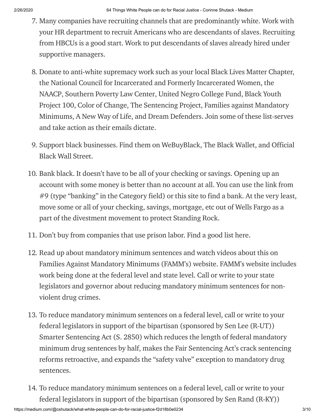- 7. Many companies have recruiting channels that are predominantly white. Work with your HR department to recruit Americans who are descendants of slaves. Recruiting from HBCUs is a good start. Work to put descendants of slaves already hired under supportive managers.
- 8. Donate to anti-white supremacy work such as your local Black Lives Matter Chapter, the National Council for Incarcerated and Formerly [Incarcerated](https://www.nationalcouncil.us/) Women, the [NAACP](http://www.naacp.org/), [Southern](https://www.splcenter.org/) Poverty Law Center, United Negro [College](https://www.uncf.org/) Fund, Black Youth Project 100, Color of [Change](https://www.colorofchange.org/), The [Sentencing](http://byp100.org/) Project, Families against Mandatory [Minimums,](http://famm.org/) A [New](http://anewwayoflife.org/) Way of Life, and Dream [Defenders.](http://dreamdefenders.org/) Join some of these list-serves and take action as their emails dictate.
- 9. Support black businesses. Find them on [W](https://officialblackwallstreet.com/directory/)[eBuyBlac](https://webuyblack.com/)[k,](https://officialblackwallstreet.com/directory/) The Black [Wallet](http://theblackwallet.com/), and Official Black Wall Street.
- 10. Bank black. It doesn't have to be all of your checking or savings. Opening up an account with some money is better than no account at all. You can use the link from #9 (type "banking" in the Category field) or [this](http://blackoutcoalition.org/black-u-s-banks/) site to find a bank. At the very least, move some or all of your checking, savings, mortgage, etc out of Wells Fargo as a part of the [divestment](https://www.sierraclub.org/lay-of-the-land/2017/08/divestment-movement-grows-wells-fargo-feels-heat) movement to protect Standing Rock.
- 11. Don't buy from companies that use prison labor. Find a good list [here](http://returntonow.net/2016/06/13/prison-labor-is-the-new-american-slavery/).
- 12. Read up about mandatory minimum sentences and watch videos about this on Families Against Mandatory Minimums (FAMM's) [website.](http://famm.org/) FAMM's website includes work being done at the federal level and state level. Call or write to your state legislators and governor about reducing mandatory minimum sentences for nonviolent drug crimes.
- 13. To reduce mandatory minimum sentences on a federal level, call or write to your federal legislators in support of the bipartisan (sponsored by Sen Lee (R-UT)) Smarter Sentencing Act (S. 2850) which reduces the length of federal mandatory minimum drug sentences by half, makes the Fair Sentencing Act's crack sentencing reforms retroactive, and expands the "safety valve" exception to mandatory drug sentences.
- 14. To reduce mandatory minimum sentences on a federal level, call or write to your federal legislators in support of the bipartisan (sponsored by Sen Rand (R-KY))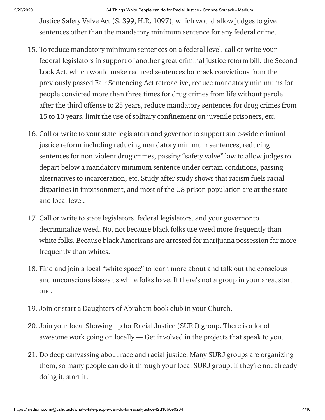2/26/2020 64 Things White People can do for Racial Justice - Corinne Shutack - Medium

Justice Safety Valve Act (S. 399, H.R. 1097), which would allow judges to give sentences other than the mandatory minimum sentence for any federal crime.

- 15. To reduce mandatory minimum sentences on a federal level, call or write your federal legislators in support of another great criminal justice reform bill, the Second Look Act, which would make reduced sentences for crack convictions from the previously passed Fair Sentencing Act retroactive, reduce mandatory minimums for people convicted more than three times for drug crimes from life without parole after the third offense to 25 years, reduce mandatory sentences for drug crimes from 15 to 10 years, limit the use of solitary confinement on juvenile prisoners, etc.
- 16. Call or write to your state legislators and governor to support state-wide criminal justice reform including reducing mandatory minimum sentences, reducing sentences for non-violent drug crimes, passing "safety valve" law to allow judges to depart below a mandatory minimum sentence under certain conditions, passing alternatives to incarceration, etc. [Study](https://scholarship.law.umn.edu/cgi/viewcontent.cgi?article=1035&context=lawineq) after [study](https://scholarlycommons.law.northwestern.edu/cgi/viewcontent.cgi?article=6336&context=jclc) shows that racism fuels racial disparities in [imprisonment,](https://www.prisonpolicy.org/reports/pie2019.html) and most of the US prison population are at the state and local level.
- 17. Call or write to state legislators, federal legislators, and your governor to decriminalize weed. No, not because black folks use weed more frequently than white folks. Because black [Americans](https://www.washingtonpost.com/news/wonk/wp/2013/06/04/the-blackwhite-marijuana-arrest-gap-in-nine-charts/?utm_term=.64479104ad4a) are arrested for marijuana possession far more frequently than whites.
- 18. Find and join a local ["white](https://www.nbcnews.com/news/us-news/wow-i-m-racist-time-viral-encounters-white-spaces-are-n947311?fbclid=IwAR1JX_CGV0Tu-Dz1DVfoWIanpJxgSmD1PnMLq3tPJu0w3ex9WGS58OJBte0) space" to learn more about and talk out the conscious and unconscious biases us white folks have. If there's not a group in your area, start one.
- 19. Join or start a [Daughters](http://daughtersofabraham.com/) of Abraham book club in your Church.
- 20. Join your local Showing up for Racial Justice (SURJ) group. There is a lot of awesome work going on locally — Get involved in the projects that speak to you.
- 21. Do deep [canvassing](https://www.nytimes.com/2016/04/10/magazine/how-do-you-change-voters-minds-have-a-conversation.html) about race and racial justice. Many SURJ groups are organizing them, so many people can do it through your local SURJ group. If they're not already doing it, start it.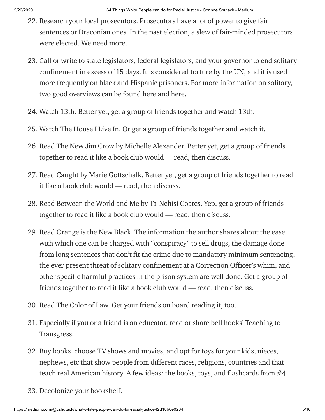- 22. Research your local prosecutors. Prosecutors have a lot of power to give fair sentences or Draconian ones. In the past election, a slew of fair-minded prosecutors were elected. We need more.
- 23. Call or write to state legislators, federal legislators, and your governor to end solitary [confinement](https://www.themarshallproject.org/2016/11/30/a-new-report-gives-the-most-detailed-breakdown-yet-of-how-isolation-is-used-in-u-s-prisons) in excess of 15 days. It is [considered](http://www.un.org/apps/news/story.asp?NewsID=40097#.WdEub8iGPIV) torture by the UN, and it is used more frequently on black and Hispanic prisoners. For more information on solitary, two good overviews can be found [here](http://www.evangelicalsforsocialaction.org/compassion-and-justice/solitary-confinement-torture-backyard/) and [here](https://www.afsc.org/resource/solitary-confinement-facts).
- 24. Watch 13th. Better yet, get a group of friends together and watch 13th.
- 25. Watch The House I Live In. Or get a group of friends together and watch it.
- 26. Read The New Jim Crow by Michelle Alexander. Better yet, get a group of friends together to read it like a book club would — read, then discuss.
- 27. Read Caught by Marie Gottschalk. Better yet, get a group of friends together to read it like a book club would — read, then discuss.
- 28. Read Between the World and Me by Ta-Nehisi Coates. Yep, get a group of friends together to read it like a book club would — read, then discuss.
- 29. Read Orange is the New Black. The information the author shares about the ease with which one can be charged with "conspiracy" to sell drugs, the damage done from long sentences that don't fit the crime due to mandatory minimum sentencing, the ever-present threat of solitary confinement at a Correction Officer's whim, and other specific harmful practices in the prison system are well done. Get a group of friends together to read it like a book club would — read, then discuss.
- 30. Read The Color of Law. Get your friends on board reading it, too.
- 31. Especially if you or a friend is an educator, read or share bell hooks' Teaching to Transgress.
- 32. Buy books, choose TV shows and movies, and opt for toys for your kids, nieces, nephews, etc that show people from different races, religions, countries and that teach real American history. A few ideas: the books, toys, and flashcards from #4.
- 33. [Decolonize](https://www.facebook.com/allyhennypage/posts/1423637697786536) your bookshelf.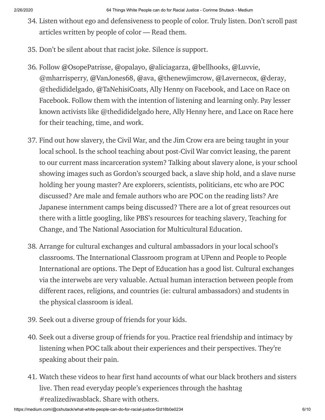- 34. Listen without ego and defensiveness to people of color. Truly listen. Don't scroll past articles written by people of color — Read them.
- 35. Don't be silent about that racist joke. Silence is support.
- 36. Follow @[OsopePatrisse](https://twitter.com/OsopePatrisse), @[opalayo,](https://twitter.com/opalayo) @[aliciagarza](https://twitter.com/aliciagarza), @[bellhooks,](https://twitter.com/bellhooks) @[Luvvie](https://twitter.com/Luvvie), @mharrisperry, @[VanJones68](https://twitter.com/VanJones68), @[ava](https://twitter.com/ava), @[thenewjimcrow,](https://twitter.com/thenewjimcrow) @[Lavernecox,](https://twitter.com/Lavernecox) @[deray](https://twitter.com/deray), @thedididelgado, @[TaNehisiCoats,](https://twitter.com/TaNehisiCoats) Ally Henny on Facebook, and Lace on Race on Facebook. Follow them with the intention of listening and learning only. Pay lesser known activists like @thedididelgado [here](https://www.paypal.com/paypalme2/omgitsdididelgado), Ally Henny [here,](https://www.facebook.com/allyhennypage/posts/1374653266018313) and Lace on Race [here](http://paypal.me/mennolacie) for their teaching, time, and work.
- 37. Find out how slavery, the Civil War, and the Jim Crow era are being taught in your local school. Is the school teaching about post-Civil War convict leasing, the parent to our current mass incarceration system? Talking about slavery alone, is your school showing images such as Gordon's [scourged](https://en.wikipedia.org/wiki/Gordon_(slave)#/media/File:Gordon,_scourged_back,_NPG,_1863.jpg) back, a [slave](http://www.historiansagainstslavery.org/main/2014/08/am-i-still-not-a-man-and-a-brother/) ship hold, and a slave nurse holding her young master? Are explorers, scientists, [politicians,](https://vallnessblog.files.wordpress.com/2014/03/slide09.jpg) etc who are POC discussed? Are male and female authors who are POC on the reading lists? Are Japanese internment camps being discussed? There are a lot of great resources out there with a little googling, like PBS's [resources](http://www.pbs.org/wnet/slavery/teachers/index.html) for teaching slavery, Teaching for Change, and The National Association for [Multicultural](http://www.teachingforchange.org/) Education.
- 38. Arrange for cultural exchanges and cultural ambassadors in your local school's classrooms. The [International](https://www.penn.museum/teachers-and-students/k-12-educators/international-classroom/overview) Classroom program at UPenn and People to People International are options. The Dept of [Education](https://www2.ed.gov/teachers/how/tech/international/guide_pg2.html) has a good list. Cultural exchanges via the interwebs are very valuable. Actual human interaction between people from different races, religions, and countries (ie: cultural ambassadors) and students in the physical classroom is ideal.
- 39. Seek out a diverse group of friends for your kids.
- 40. Seek out a diverse group of friends for you. Practice real friendship and intimacy by listening when POC talk about their experiences and their perspectives. They're speaking about their pain.
- 41. Watch these [videos](http://www.cnn.com/interactive/2017/02/us/first-time-i-realized-i-was-black/) to hear first hand accounts of what our black brothers and sisters live. Then read everyday people's experiences through the hashtag #realizediwasblack. Share with others.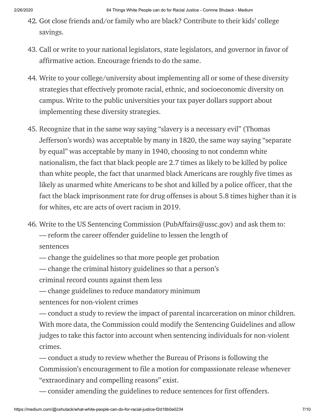- 42. Got close friends and/or family who are black? Contribute to their kids' college savings.
- 43. Call or write to your national legislators, state legislators, and governor in favor of affirmative action. Encourage friends to do the same.
- 44. Write to your [college/university](https://tcf.org/content/commentary/what-can-we-learn-from-states-that-ban-affirmative-action/) about implementing all or some of these diversity strategies that effectively promote racial, ethnic, and socioeconomic diversity on campus. Write to the public universities your tax payer dollars support about implementing these diversity strategies.
- 45. Recognize that in the same way saying "slavery is a necessary evil" (Thomas Jefferson's words) was acceptable by many in 1820, the same way saying "separate by equal" was acceptable by many in 1940, choosing to not condemn white [nationalism,](http://www.snopes.com/do-police-kill-more-whites-than-black-people/) the fact that black people are 2.7 times as likely to be killed by police than white people, the fact that unarmed black [Americans](https://www.washingtonpost.com/news/post-nation/wp/2016/07/11/arent-more-white-people-than-black-people-killed-by-police-yes-but-no/?utm_term=.be962756ff9c) are roughly five times as likely as unarmed white Americans to be shot and killed by a police officer, that the fact the black [imprisonment](http://www.politifact.com/punditfact/statements/2016/jul/13/van-jones/van-jones-claim-drug-use-imprisonment-rates-blacks/) rate for drug offenses is about 5.8 times higher than it is for whites, etc are acts of overt racism in 2019.
- 46. Write to the US Sentencing [Commission](https://www.ussc.gov/) [\(PubAffairs@ussc.gov\)](mailto:PubAffairs@ussc.gov) and ask them to: — reform the career offender guideline to lessen the length of sentences

— change the guidelines so that more people get probation

— change the criminal history guidelines so that a person's

criminal record counts against them less

— change guidelines to reduce mandatory minimum sentences for non-violent crimes

— conduct a study to review the impact of parental incarceration on minor children. With more data, the Commission could modify the Sentencing Guidelines and allow judges to take this factor into account when sentencing individuals for non-violent crimes.

— conduct a study to review whether the Bureau of Prisons is following the Commission's encouragement to file a motion for compassionate release whenever "extraordinary and compelling reasons" exist.

— consider amending the guidelines to reduce sentences for first offenders.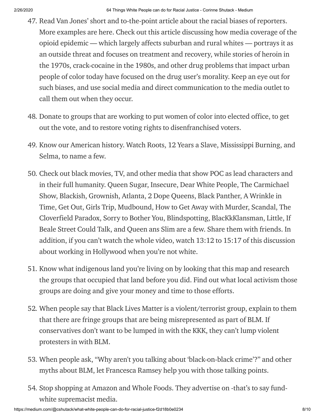- 47. Read Van Jones' short and to-the-point [article](http://www.huffingtonpost.com/van-jones/black-people-loot-food-wh_b_6614.html) about the racial biases of reporters. More examples are [here.](http://www.huffingtonpost.com/2014/08/14/media-black-victims_n_5673291.html) Check out this [article](https://www.cjr.org/criticism/opioid-crisis-photos.php?link) discussing how media coverage of the opioid epidemic — which largely affects suburban and rural whites — portrays it as an outside threat and focuses on treatment and recovery, while stories of heroin in the 1970s, crack-cocaine in the 1980s, and other drug problems that impact urban people of color today have focused on the drug user's morality. Keep an eye out for such biases, and use social media and direct communication to the media outlet to call them out when they occur.
- 48. Donate to groups that are working to put women of color into elected office, to get out the vote, and to restore voting rights to [disenfranchised](https://www.thecut.com/2017/12/black-women-turnout-roy-moore-doug-jones.html) voters.
- 49. Know our American history. Watch Roots, 12 Years a Slave, Mississippi Burning, and Selma, to name a few.
- 50. Check out black movies, TV, and other media that show POC as lead characters and in their full humanity. Queen Sugar, Insecure, Dear White People, The Carmichael Show, Blackish, Grownish, Atlanta, 2 Dope Queens, Black Panther, A Wrinkle in Time, Get Out, Girls Trip, Mudbound, How to Get Away with Murder, Scandal, The Cloverfield Paradox, Sorry to Bother You, Blindspotting, BlacKkKlansman, Little, If Beale Street Could Talk, and Queen ans Slim are a few. Share them with friends. In addition, if you can't watch the whole video, watch 13:12 to 15:17 of this [discussion](https://www.youtube.com/watch?v=U4TDyo2WiGo) about working in Hollywood when you're not white.
- 51. Know what indigenous land you're living on by looking that this [map](https://native-land.ca/) and research the groups that occupied that land before you did. Find out what local activism those groups are doing and give your money and time to those efforts.
- 52. When people say that Black Lives Matter is a violent/terrorist group, explain to them that there are fringe groups that are being [misrepresented](http://www.snopes.com/black-lives-matter-protesters-chant-for-dead-cops-now-in-baton-rouge/) as part of BLM. If conservatives don't want to be lumped in with the KKK, they can't lump violent protesters in with BLM.
- 53. When people ask, "Why aren't you talking about 'black-on-black crime'?" and other myths about BLM, let [Francesca](https://www.youtube.com/watch?v=jQ_0bqWKO-k) Ramsey help you with those talking points.
- 54. Stop shopping at Amazon and Whole Foods. They advertise on -that's to say fundwhite [supremacist](https://actions.sumofus.org/a/amazon-stop-investing-in-hate) media.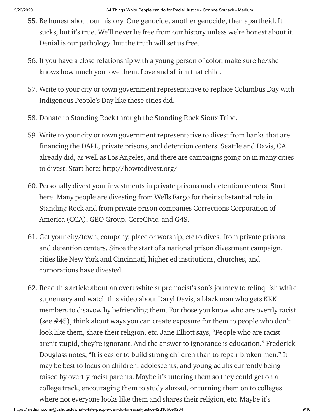- 55. Be honest about our history. One genocide, another genocide, then apartheid. It sucks, but it's true. We'll never be free from our history unless we're honest about it. Denial is our pathology, but the truth will set us free.
- 56. If you have a close relationship with a young person of color, make sure he/she knows how much you love them. Love and affirm that child.
- 57. Write to your city or town government representative to replace Columbus Day with Indigenous People's Day like [these](http://time.com/4968067/indigenous-peoples-day-columbus-day-cities/) cities did.
- 58. Donate to Standing Rock through the [Standing](https://standwithstandingrock.net/donate/) Rock Sioux Tribe.
- 59. Write to your city or town government representative to divest from banks that are financing the DAPL, private prisons, and detention centers. Seattle and Davis, CA already did, as well as Los [Angeles](http://www.latimes.com/local/lanow/la-me-ln-banking-ordinance-20171212-story.html), and there are [campaigns](http://www.npr.org/sections/thetwo-way/2017/02/08/514133514/two-cities-vote-to-pull-more-than-3-billion-from-wells-fargo-over-dakota-pipelin) going on in many cities to divest. Start here: [http://howtodivest.org/](https://www.thenation.com/article/these-cities-are-divesting-from-the-banks-that-support-the-dakota-access-pipeline/)
- 60. Personally divest your investments in private prisons and detention centers. Start [here.](https://www.realmoneymoves.org/) Many people are divesting from Wells Fargo for their substantial role in Standing Rock and from private prison companies Corrections [Corporation](https://www.sierraclub.org/lay-of-the-land/2017/08/divestment-movement-grows-wells-fargo-feels-heat) of America (CCA), GEO Group, CoreCivic, and G4S.
- 61. Get your city/town, company, place or worship, etc to divest from private prisons and detention centers. Since the start of a national prison [divestment](http://www.enlaceintl.org/prison-divestment) campaign, cities like [New](https://www.bloomberg.com/news/articles/2017-06-08/nyc-pension-funds-to-divest-private-prison-company-stocks-bonds) York and [Cincinnati,](http://www.fox19.com/story/36254744/cincinnati-pension-board-working-to-divest-25m-from-private-prison-industry) higher ed [institutions](http://finance.columbia.edu/content/trustee-action-prison-divestment-issue), [churches](http://www.umc.org/news-and-media/board-screens-out-private-prison-stocks), and [corporations](http://www.motherjones.com/crime-justice/2014/04/investment-corporations-divest-60-million-private-prison-cca-geo-group/) have divested.
- 62. Read this [article](https://www.washingtonpost.com/national/the-white-flight-of-derek-black/2016/10/15/ed5f906a-8f3b-11e6-a6a3-d50061aa9fae_story.html?utm_term=.07b71ab60cb2) about an overt white supremacist's son's journey to relinquish white supremacy and watch this [video](http://www.huffingtonpost.com/entry/black-man-daryl-davis-befriends-kkk-documentary-accidental-courtesy_us_585c250de4b0de3a08f495fc) about Daryl Davis, a black man who gets KKK members to disavow by befriending them. For those you know who are overtly racist (see #45), think about ways you can create exposure for them to people who don't look like them, share their religion, etc. Jane Elliott says, "People who are racist aren't stupid, they're ignorant. And the answer to ignorance is education." Frederick Douglass notes, "It is easier to build strong children than to repair broken men." It may be best to focus on children, adolescents, and young adults currently being raised by overtly racist parents. Maybe it's tutoring them so they could get on a college track, encouraging them to study abroad, or turning them on to colleges where not everyone looks like them and shares their religion, etc. Maybe it's